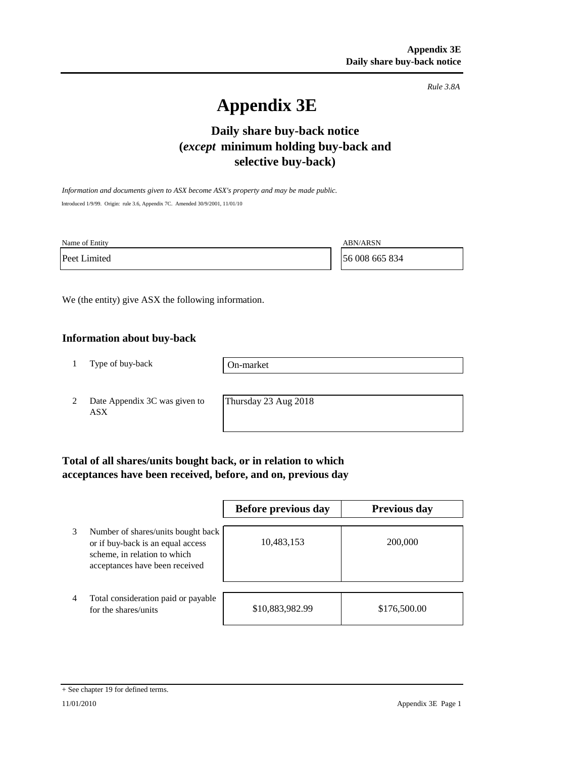*Rule 3.8A*

# **Appendix 3E**

## **Daily share buy-back notice (***except* **minimum holding buy-back and selective buy-back)**

*Information and documents given to ASX become ASX's property and may be made public.* Introduced 1/9/99. Origin: rule 3.6, Appendix 7C. Amended 30/9/2001, 11/01/10

Name of Entity ABN/ARSN

Peet Limited 56 008 665 834

We (the entity) give ASX the following information.

#### **Information about buy-back**

1 Type of buy-back

On-market

2 Date Appendix 3C was given to ASX

Thursday 23 Aug 2018

## **Total of all shares/units bought back, or in relation to which acceptances have been received, before, and on, previous day**

|   |                                                                                                                                           | Before previous day | <b>Previous day</b> |
|---|-------------------------------------------------------------------------------------------------------------------------------------------|---------------------|---------------------|
| 3 | Number of shares/units bought back<br>or if buy-back is an equal access<br>scheme, in relation to which<br>acceptances have been received | 10,483,153          | 200,000             |
| 4 | Total consideration paid or payable<br>for the shares/units                                                                               | \$10,883,982.99     | \$176,500.00        |

<sup>+</sup> See chapter 19 for defined terms.